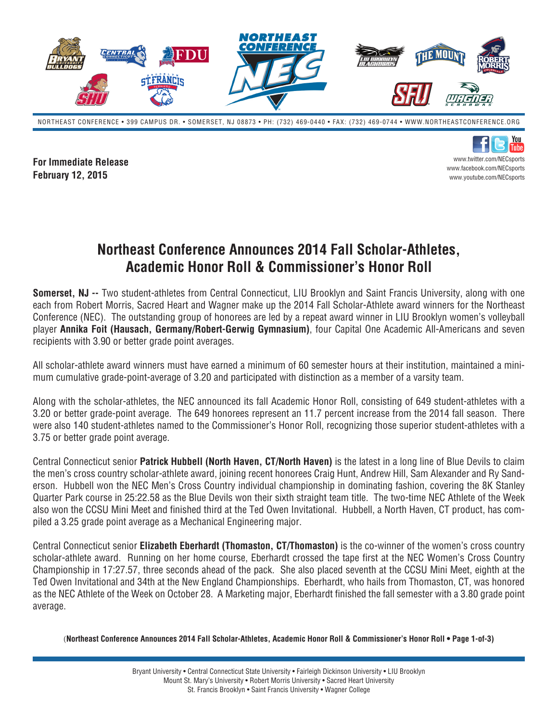

NORTHEAST CONFERENCE • 399 CAMPUS DR. • SOMERSET, NJ 08873 • PH: (732) 469-0440 • FAX: (732) 469-0744 • WWW.NORTHEASTCONFERENCE.ORG

**For Immediate Release February 12, 2015**

You Tuhe www.twitter.com/NECsports www.facebook.com/NECsports www.youtube.com/NECsports

## **Northeast Conference Announces 2014 Fall Scholar-Athletes, Academic Honor Roll & Commissioner's Honor Roll**

**Somerset, NJ --** Two student-athletes from Central Connecticut, LIU Brooklyn and Saint Francis University, along with one each from Robert Morris, Sacred Heart and Wagner make up the 2014 Fall Scholar-Athlete award winners for the Northeast Conference (NEC). The outstanding group of honorees are led by a repeat award winner in LIU Brooklyn women's volleyball player **Annika Foit (Hausach, Germany/Robert-Gerwig Gymnasium)**, four Capital One Academic All-Americans and seven recipients with 3.90 or better grade point averages.

All scholar-athlete award winners must have earned a minimum of 60 semester hours at their institution, maintained a minimum cumulative grade-point-average of 3.20 and participated with distinction as a member of a varsity team.

Along with the scholar-athletes, the NEC announced its fall Academic Honor Roll, consisting of 649 student-athletes with a 3.20 or better grade-point average. The 649 honorees represent an 11.7 percent increase from the 2014 fall season. There were also 140 student-athletes named to the Commissioner's Honor Roll, recognizing those superior student-athletes with a 3.75 or better grade point average.

Central Connecticut senior **Patrick Hubbell (North Haven, CT/North Haven)** is the latest in a long line of Blue Devils to claim the men's cross country scholar-athlete award, joining recent honorees Craig Hunt, Andrew Hill, Sam Alexander and Ry Sanderson. Hubbell won the NEC Men's Cross Country individual championship in dominating fashion, covering the 8K Stanley Quarter Park course in 25:22.58 as the Blue Devils won their sixth straight team title. The two-time NEC Athlete of the Week also won the CCSU Mini Meet and finished third at the Ted Owen Invitational. Hubbell, a North Haven, CT product, has compiled a 3.25 grade point average as a Mechanical Engineering major.

Central Connecticut senior **Elizabeth Eberhardt (Thomaston, CT/Thomaston)** is the co-winner of the women's cross country scholar-athlete award. Running on her home course, Eberhardt crossed the tape first at the NEC Women's Cross Country Championship in 17:27.57, three seconds ahead of the pack. She also placed seventh at the CCSU Mini Meet, eighth at the Ted Owen Invitational and 34th at the New England Championships. Eberhardt, who hails from Thomaston, CT, was honored as the NEC Athlete of the Week on October 28. A Marketing major, Eberhardt finished the fall semester with a 3.80 grade point average.

(**Northeast Conference Announces 2014 Fall Scholar-Athletes, Academic Honor Roll & Commissioner's Honor Roll • Page 1-of-3)**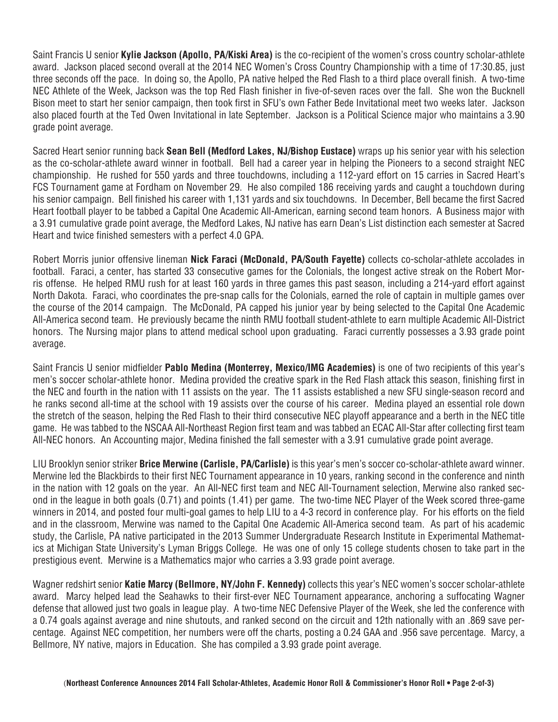Saint Francis U senior **Kylie Jackson (Apollo, PA/Kiski Area)** is the co-recipient of the women's cross country scholar-athlete award. Jackson placed second overall at the 2014 NEC Women's Cross Country Championship with a time of 17:30.85, just three seconds off the pace. In doing so, the Apollo, PA native helped the Red Flash to a third place overall finish. A two-time NEC Athlete of the Week, Jackson was the top Red Flash finisher in five-of-seven races over the fall. She won the Bucknell Bison meet to start her senior campaign, then took first in SFU's own Father Bede Invitational meet two weeks later. Jackson also placed fourth at the Ted Owen Invitational in late September. Jackson is a Political Science major who maintains a 3.90 grade point average.

Sacred Heart senior running back **Sean Bell (Medford Lakes, NJ/Bishop Eustace)** wraps up his senior year with his selection as the co-scholar-athlete award winner in football. Bell had a career year in helping the Pioneers to a second straight NEC championship. He rushed for 550 yards and three touchdowns, including a 112-yard effort on 15 carries in Sacred Heart's FCS Tournament game at Fordham on November 29. He also compiled 186 receiving yards and caught a touchdown during his senior campaign. Bell finished his career with 1,131 yards and six touchdowns. In December, Bell became the first Sacred Heart football player to be tabbed a Capital One Academic All-American, earning second team honors. A Business major with a 3.91 cumulative grade point average, the Medford Lakes, NJ native has earn Dean's List distinction each semester at Sacred Heart and twice finished semesters with a perfect 4.0 GPA.

Robert Morris junior offensive lineman **Nick Faraci (McDonald, PA/South Fayette)** collects co-scholar-athlete accolades in football. Faraci, a center, has started 33 consecutive games for the Colonials, the longest active streak on the Robert Morris offense. He helped RMU rush for at least 160 yards in three games this past season, including a 214-yard effort against North Dakota. Faraci, who coordinates the pre-snap calls for the Colonials, earned the role of captain in multiple games over the course of the 2014 campaign. The McDonald, PA capped his junior year by being selected to the Capital One Academic All-America second team. He previously became the ninth RMU football student-athlete to earn multiple Academic All-District honors. The Nursing major plans to attend medical school upon graduating. Faraci currently possesses a 3.93 grade point average.

Saint Francis U senior midfielder **Pablo Medina (Monterrey, Mexico/IMG Academies)** is one of two recipients of this year's men's soccer scholar-athlete honor. Medina provided the creative spark in the Red Flash attack this season, finishing first in the NEC and fourth in the nation with 11 assists on the year. The 11 assists established a new SFU single-season record and he ranks second all-time at the school with 19 assists over the course of his career. Medina played an essential role down the stretch of the season, helping the Red Flash to their third consecutive NEC playoff appearance and a berth in the NEC title game. He was tabbed to the NSCAA All-Northeast Region first team and was tabbed an ECAC All-Star after collecting first team All-NEC honors. An Accounting major, Medina finished the fall semester with a 3.91 cumulative grade point average.

LIU Brooklyn senior striker **Brice Merwine (Carlisle, PA/Carlisle)** is this year's men's soccer co-scholar-athlete award winner. Merwine led the Blackbirds to their first NEC Tournament appearance in 10 years, ranking second in the conference and ninth in the nation with 12 goals on the year. An All-NEC first team and NEC All-Tournament selection, Merwine also ranked second in the league in both goals (0.71) and points (1.41) per game. The two-time NEC Player of the Week scored three-game winners in 2014, and posted four multi-goal games to help LIU to a 4-3 record in conference play. For his efforts on the field and in the classroom, Merwine was named to the Capital One Academic All-America second team. As part of his academic study, the Carlisle, PA native participated in the 2013 Summer Undergraduate Research Institute in Experimental Mathematics at Michigan State University's Lyman Briggs College. He was one of only 15 college students chosen to take part in the prestigious event. Merwine is a Mathematics major who carries a 3.93 grade point average.

Wagner redshirt senior **Katie Marcy (Bellmore, NY/John F. Kennedy)** collects this year's NEC women's soccer scholar-athlete award. Marcy helped lead the Seahawks to their first-ever NEC Tournament appearance, anchoring a suffocating Wagner defense that allowed just two goals in league play. A two-time NEC Defensive Player of the Week, she led the conference with a 0.74 goals against average and nine shutouts, and ranked second on the circuit and 12th nationally with an .869 save percentage. Against NEC competition, her numbers were off the charts, posting a 0.24 GAA and .956 save percentage. Marcy, a Bellmore, NY native, majors in Education. She has compiled a 3.93 grade point average.